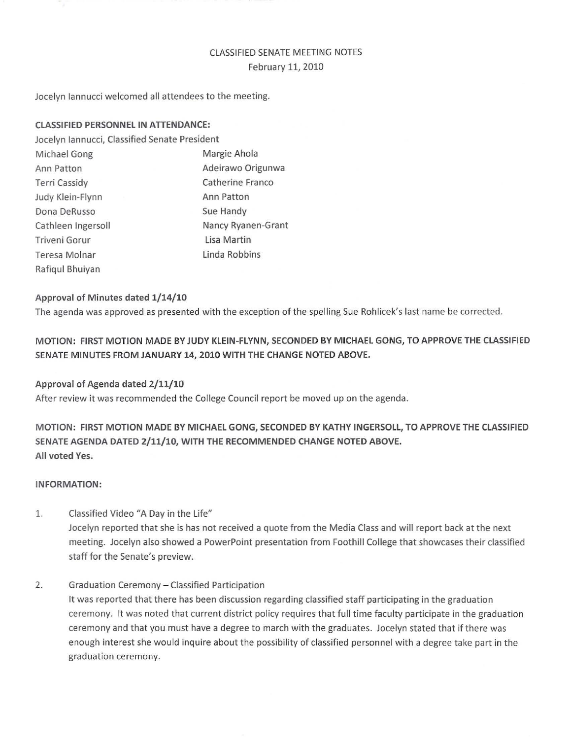# CLASSIFIED SENATE MEETING NOTES February 11, 2010

Jocelyn Iannucci welcomed all attendees to the meeting.

### CLASSIFIED PERSONNEl IN ATTENDANCE:

Jocelyn Iannucci, Classified Senate President

Michael Gong **Margie Ahola** Ann Patton **Adeirawo Origunwa** Terri Cassidy **Catherine Franco** Judy Klein-Flynn **Ann Patton** Dona DeRusso Sue Handy Cathleen Ingersoll **Nancy Ryanen-Grant** Triveni Gorur **Lisa Martin** Teresa Molnar Linda Robbins Rafiqul Bhuiyan

### Approval of Minutes dated 1/14/10

The agenda was approved as presented with the exception of the spelling Sue Rohlicek's last name be corrected.

MOTION: FIRST MOTION MADE BY JUDY KLEIN-FLYNN, SECONDED BY MICHAEL GONG, TO APPROVE THE CLASSIFIED SENATE MINUTES FROM JANUARY 14, 2010 WITH THE CHANGE NOTED ABOVE.

### Approval of Agenda dated 2/11/10

After review it was recommended the College Council report be moved up on the agenda.

MOTION: FIRST MOTION MADE BY MICHAEL GONG, SECONDED BY KATHY INGERSOll, TO APPROVE THE CLASSIFIED SENATE AGENDA DATED 2/11/10, WITH THE RECOMMENDED CHANGE NOTED ABOVE. All voted Yes.

#### INFORMATION:

1. Classified Video "A Day in the Life" Jocelyn reported that she is has not received a quote from the Media Class and will report back at the next meeting. Jocelyn also showed a PowerPoint presentation from Foothill College that showcases their classified staff for the Senate's preview.

### 2. Graduation Ceremony - Classified Participation

It was reported that there has been discussion regarding classified staff participating in the graduation ceremony. It was noted that current district policy requires that full time faculty participate in the graduation ceremony and that you must have a degree to march with the graduates. Jocelyn stated that if there was enough interest she would inquire about the possibility of classified personnel with a degree take part in the graduation ceremony.